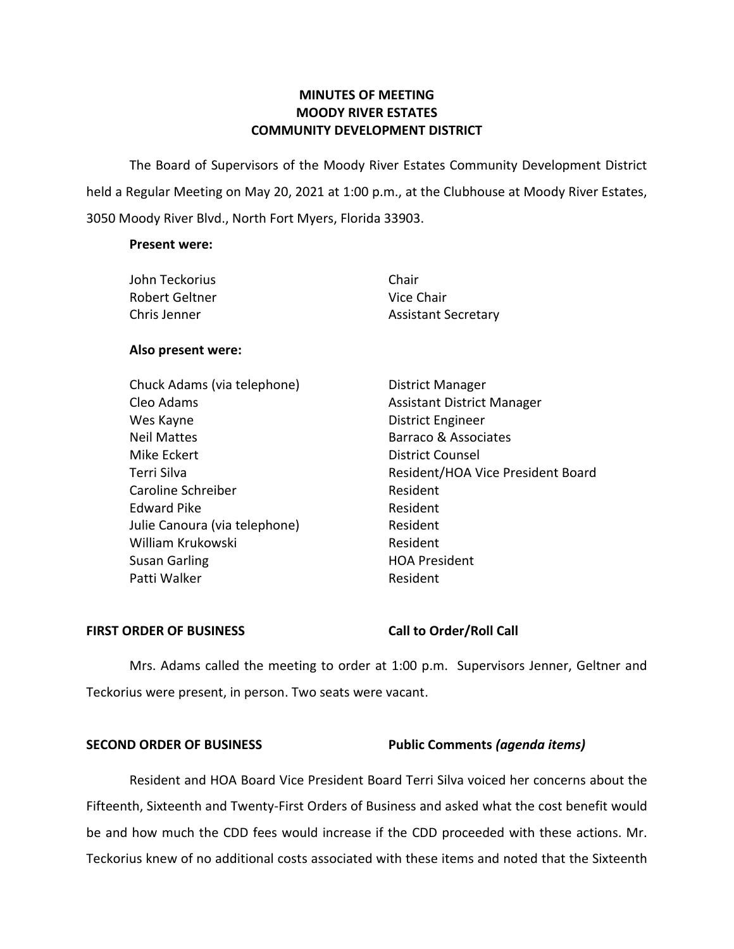# **MINUTES OF MEETING MOODY RIVER ESTATES COMMUNITY DEVELOPMENT DISTRICT**

The Board of Supervisors of the Moody River Estates Community Development District held a Regular Meeting on May 20, 2021 at 1:00 p.m., at the Clubhouse at Moody River Estates, 3050 Moody River Blvd., North Fort Myers, Florida 33903.

### **Present were:**

| John Teckorius | Chair                      |
|----------------|----------------------------|
| Robert Geltner | Vice Chair                 |
| Chris Jenner   | <b>Assistant Secretary</b> |

### **Also present were:**

| Chuck Adams (via telephone)   | <b>District Manager</b>           |
|-------------------------------|-----------------------------------|
| Cleo Adams                    | <b>Assistant District Manager</b> |
| Wes Kayne                     | District Engineer                 |
| <b>Neil Mattes</b>            | Barraco & Associates              |
| Mike Eckert                   | <b>District Counsel</b>           |
| Terri Silva                   | Resident/HOA Vice President Board |
| Caroline Schreiber            | Resident                          |
| <b>Edward Pike</b>            | Resident                          |
| Julie Canoura (via telephone) | Resident                          |
| William Krukowski             | Resident                          |
| Susan Garling                 | <b>HOA President</b>              |
| Patti Walker                  | Resident                          |

# **FIRST ORDER OF BUSINESS Call to Order/Roll Call**

Mrs. Adams called the meeting to order at 1:00 p.m. Supervisors Jenner, Geltner and Teckorius were present, in person. Two seats were vacant.

### **SECOND ORDER OF BUSINESS Public Comments** *(agenda items)*

Resident and HOA Board Vice President Board Terri Silva voiced her concerns about the Fifteenth, Sixteenth and Twenty-First Orders of Business and asked what the cost benefit would be and how much the CDD fees would increase if the CDD proceeded with these actions. Mr. Teckorius knew of no additional costs associated with these items and noted that the Sixteenth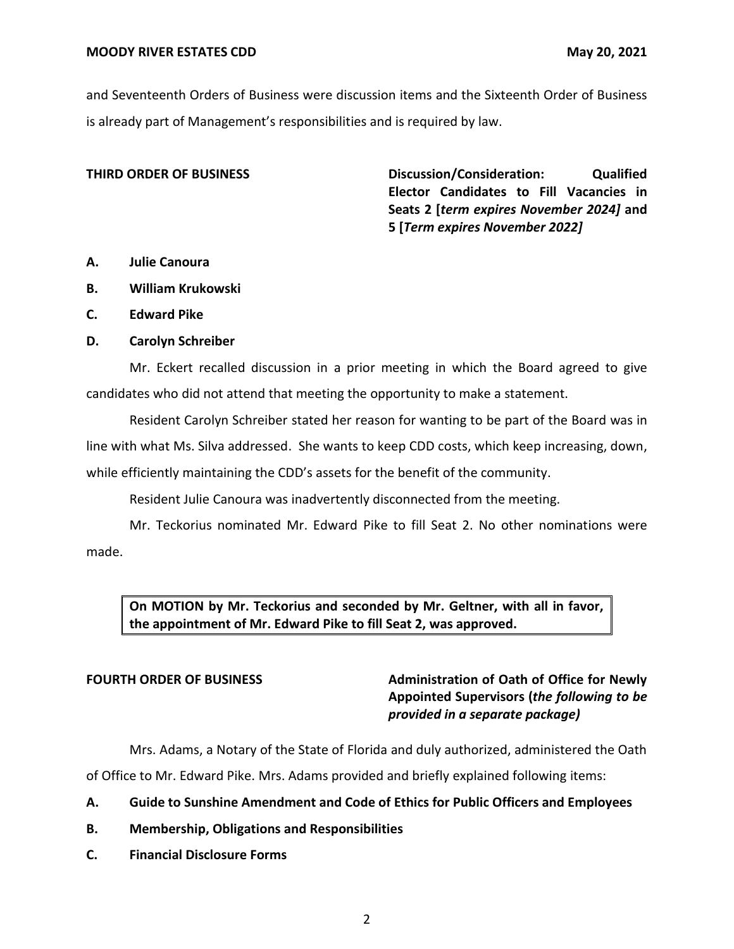and Seventeenth Orders of Business were discussion items and the Sixteenth Order of Business is already part of Management's responsibilities and is required by law.

**THIRD ORDER OF BUSINESS Discussion/Consideration: Qualified Elector Candidates to Fill Vacancies in Seats 2 [***term expires November 2024]* **and 5 [***Term expires November 2022]*

- **A. Julie Canoura**
- **B. William Krukowski**
- **C. Edward Pike**
- **D. Carolyn Schreiber**

Mr. Eckert recalled discussion in a prior meeting in which the Board agreed to give candidates who did not attend that meeting the opportunity to make a statement.

Resident Carolyn Schreiber stated her reason for wanting to be part of the Board was in line with what Ms. Silva addressed. She wants to keep CDD costs, which keep increasing, down, while efficiently maintaining the CDD's assets for the benefit of the community.

Resident Julie Canoura was inadvertently disconnected from the meeting.

Mr. Teckorius nominated Mr. Edward Pike to fill Seat 2. No other nominations were made.

**On MOTION by Mr. Teckorius and seconded by Mr. Geltner, with all in favor, the appointment of Mr. Edward Pike to fill Seat 2, was approved.**

# **FOURTH ORDER OF BUSINESS Administration of Oath of Office for Newly Appointed Supervisors (***the following to be provided in a separate package)*

Mrs. Adams, a Notary of the State of Florida and duly authorized, administered the Oath

of Office to Mr. Edward Pike. Mrs. Adams provided and briefly explained following items:

- **A. Guide to Sunshine Amendment and Code of Ethics for Public Officers and Employees**
- **B. Membership, Obligations and Responsibilities**
- **C. Financial Disclosure Forms**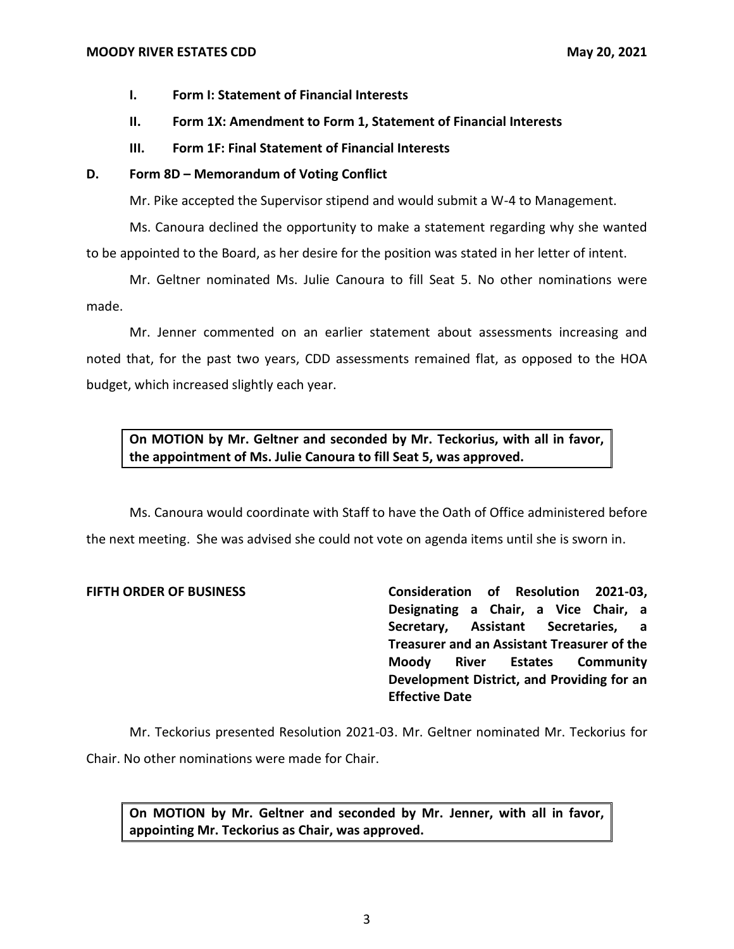- **I. Form I: Statement of Financial Interests**
- **II. Form 1X: Amendment to Form 1, Statement of Financial Interests**
- **III. Form 1F: Final Statement of Financial Interests**

# **D. Form 8D – Memorandum of Voting Conflict**

Mr. Pike accepted the Supervisor stipend and would submit a W-4 to Management.

Ms. Canoura declined the opportunity to make a statement regarding why she wanted to be appointed to the Board, as her desire for the position was stated in her letter of intent.

Mr. Geltner nominated Ms. Julie Canoura to fill Seat 5. No other nominations were made.

Mr. Jenner commented on an earlier statement about assessments increasing and noted that, for the past two years, CDD assessments remained flat, as opposed to the HOA budget, which increased slightly each year.

**On MOTION by Mr. Geltner and seconded by Mr. Teckorius, with all in favor, the appointment of Ms. Julie Canoura to fill Seat 5, was approved.**

Ms. Canoura would coordinate with Staff to have the Oath of Office administered before the next meeting. She was advised she could not vote on agenda items until she is sworn in.

**FIFTH ORDER OF BUSINESS Consideration of Resolution 2021-03, Designating a Chair, a Vice Chair, a Secretary, Assistant Secretaries, a Treasurer and an Assistant Treasurer of the Moody River Estates Community Development District, and Providing for an Effective Date**

Mr. Teckorius presented Resolution 2021-03. Mr. Geltner nominated Mr. Teckorius for Chair. No other nominations were made for Chair.

**On MOTION by Mr. Geltner and seconded by Mr. Jenner, with all in favor, appointing Mr. Teckorius as Chair, was approved.**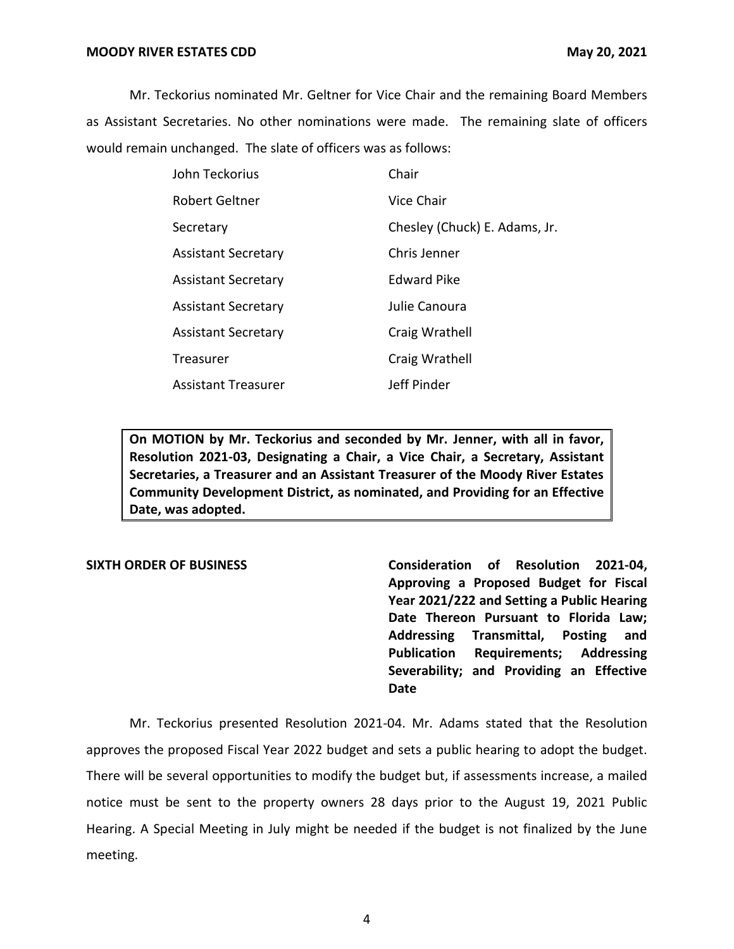Mr. Teckorius nominated Mr. Geltner for Vice Chair and the remaining Board Members as Assistant Secretaries. No other nominations were made. The remaining slate of officers would remain unchanged. The slate of officers was as follows:

| John Teckorius             | Chair                         |
|----------------------------|-------------------------------|
| Robert Geltner             | Vice Chair                    |
| Secretary                  | Chesley (Chuck) E. Adams, Jr. |
| <b>Assistant Secretary</b> | Chris Jenner                  |
| <b>Assistant Secretary</b> | Edward Pike                   |
| <b>Assistant Secretary</b> | Julie Canoura                 |
| <b>Assistant Secretary</b> | Craig Wrathell                |
| Treasurer                  | Craig Wrathell                |
| <b>Assistant Treasurer</b> | Jeff Pinder                   |

**On MOTION by Mr. Teckorius and seconded by Mr. Jenner, with all in favor, Resolution 2021-03, Designating a Chair, a Vice Chair, a Secretary, Assistant Secretaries, a Treasurer and an Assistant Treasurer of the Moody River Estates Community Development District, as nominated, and Providing for an Effective Date, was adopted.**

**SIXTH ORDER OF BUSINESS Consideration of Resolution 2021-04, Approving a Proposed Budget for Fiscal Year 2021/222 and Setting a Public Hearing Date Thereon Pursuant to Florida Law; Addressing Transmittal, Posting and Publication Requirements; Addressing Severability; and Providing an Effective Date**

Mr. Teckorius presented Resolution 2021-04. Mr. Adams stated that the Resolution approves the proposed Fiscal Year 2022 budget and sets a public hearing to adopt the budget. There will be several opportunities to modify the budget but, if assessments increase, a mailed notice must be sent to the property owners 28 days prior to the August 19, 2021 Public Hearing. A Special Meeting in July might be needed if the budget is not finalized by the June meeting.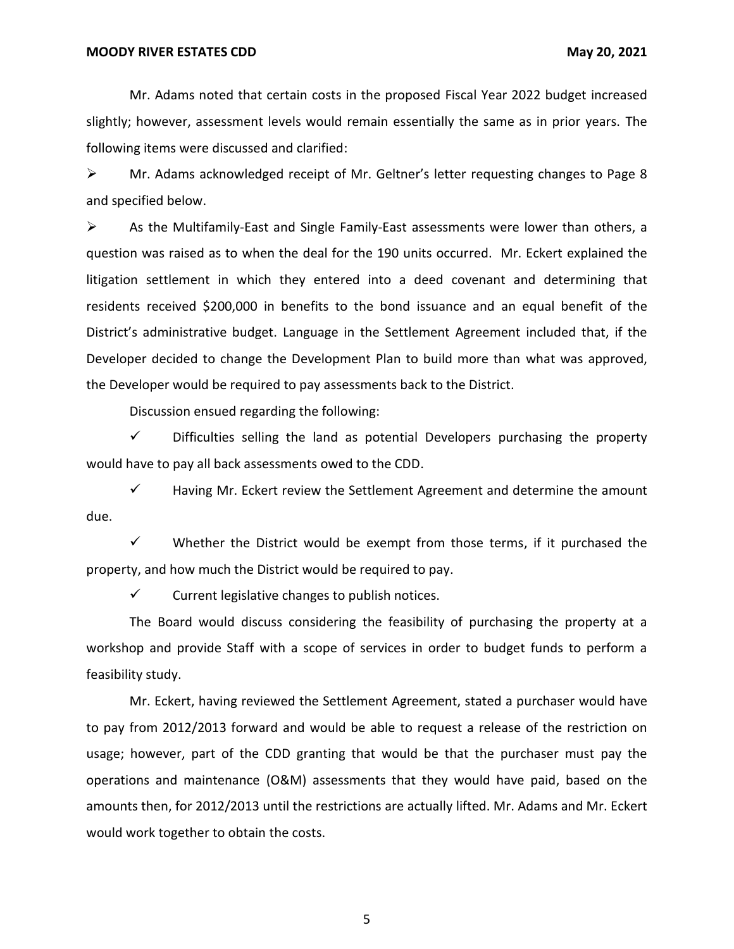Mr. Adams noted that certain costs in the proposed Fiscal Year 2022 budget increased slightly; however, assessment levels would remain essentially the same as in prior years. The following items were discussed and clarified:

➢ Mr. Adams acknowledged receipt of Mr. Geltner's letter requesting changes to Page 8 and specified below.

 $\triangleright$  As the Multifamily-East and Single Family-East assessments were lower than others, a question was raised as to when the deal for the 190 units occurred. Mr. Eckert explained the litigation settlement in which they entered into a deed covenant and determining that residents received \$200,000 in benefits to the bond issuance and an equal benefit of the District's administrative budget. Language in the Settlement Agreement included that, if the Developer decided to change the Development Plan to build more than what was approved, the Developer would be required to pay assessments back to the District.

Discussion ensued regarding the following:

 $\checkmark$  Difficulties selling the land as potential Developers purchasing the property would have to pay all back assessments owed to the CDD.

 $\checkmark$  Having Mr. Eckert review the Settlement Agreement and determine the amount due.

 $\checkmark$  Whether the District would be exempt from those terms, if it purchased the property, and how much the District would be required to pay.

 $\checkmark$  Current legislative changes to publish notices.

The Board would discuss considering the feasibility of purchasing the property at a workshop and provide Staff with a scope of services in order to budget funds to perform a feasibility study.

Mr. Eckert, having reviewed the Settlement Agreement, stated a purchaser would have to pay from 2012/2013 forward and would be able to request a release of the restriction on usage; however, part of the CDD granting that would be that the purchaser must pay the operations and maintenance (O&M) assessments that they would have paid, based on the amounts then, for 2012/2013 until the restrictions are actually lifted. Mr. Adams and Mr. Eckert would work together to obtain the costs.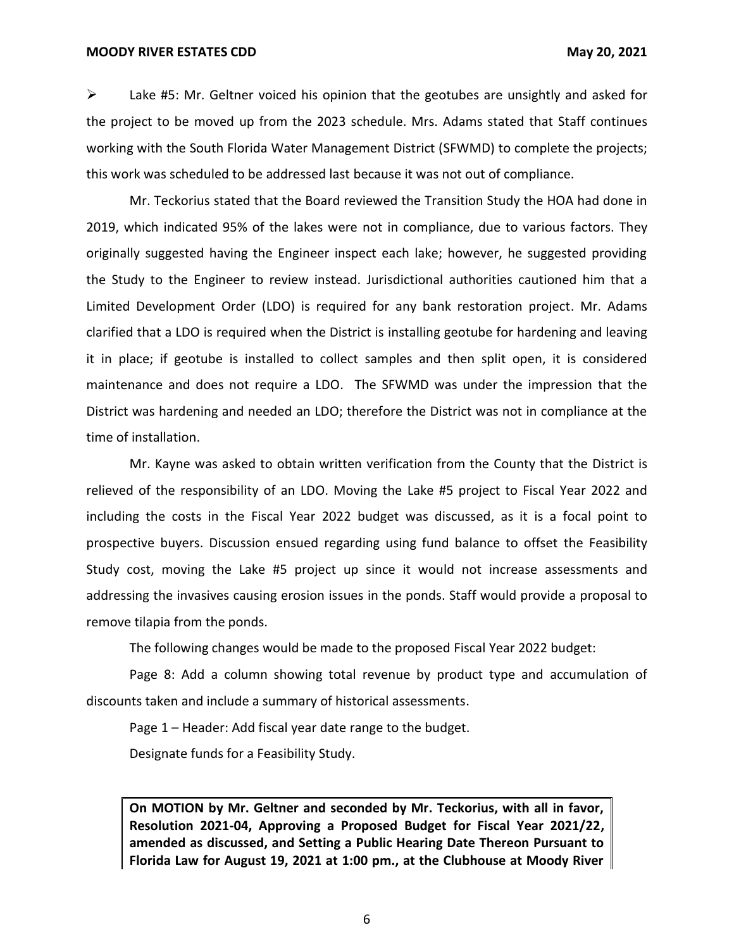### **MOODY RIVER ESTATES CDD** May 20, 2021

 $\triangleright$  Lake #5: Mr. Geltner voiced his opinion that the geotubes are unsightly and asked for the project to be moved up from the 2023 schedule. Mrs. Adams stated that Staff continues working with the South Florida Water Management District (SFWMD) to complete the projects; this work was scheduled to be addressed last because it was not out of compliance.

Mr. Teckorius stated that the Board reviewed the Transition Study the HOA had done in 2019, which indicated 95% of the lakes were not in compliance, due to various factors. They originally suggested having the Engineer inspect each lake; however, he suggested providing the Study to the Engineer to review instead. Jurisdictional authorities cautioned him that a Limited Development Order (LDO) is required for any bank restoration project. Mr. Adams clarified that a LDO is required when the District is installing geotube for hardening and leaving it in place; if geotube is installed to collect samples and then split open, it is considered maintenance and does not require a LDO. The SFWMD was under the impression that the District was hardening and needed an LDO; therefore the District was not in compliance at the time of installation.

Mr. Kayne was asked to obtain written verification from the County that the District is relieved of the responsibility of an LDO. Moving the Lake #5 project to Fiscal Year 2022 and including the costs in the Fiscal Year 2022 budget was discussed, as it is a focal point to prospective buyers. Discussion ensued regarding using fund balance to offset the Feasibility Study cost, moving the Lake #5 project up since it would not increase assessments and addressing the invasives causing erosion issues in the ponds. Staff would provide a proposal to remove tilapia from the ponds.

The following changes would be made to the proposed Fiscal Year 2022 budget:

Page 8: Add a column showing total revenue by product type and accumulation of discounts taken and include a summary of historical assessments.

Page 1 – Header: Add fiscal year date range to the budget.

Designate funds for a Feasibility Study.

**On MOTION by Mr. Geltner and seconded by Mr. Teckorius, with all in favor, Resolution 2021-04, Approving a Proposed Budget for Fiscal Year 2021/22, amended as discussed, and Setting a Public Hearing Date Thereon Pursuant to Florida Law for August 19, 2021 at 1:00 pm., at the Clubhouse at Moody River**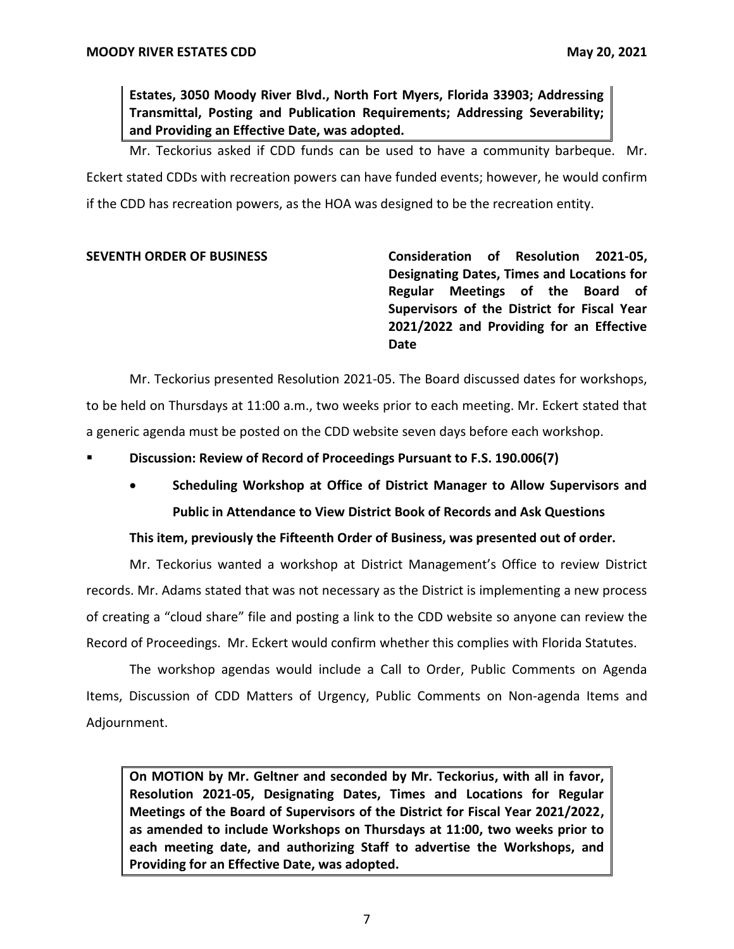**Estates, 3050 Moody River Blvd., North Fort Myers, Florida 33903; Addressing Transmittal, Posting and Publication Requirements; Addressing Severability; and Providing an Effective Date, was adopted.**

Mr. Teckorius asked if CDD funds can be used to have a community barbeque. Mr. Eckert stated CDDs with recreation powers can have funded events; however, he would confirm if the CDD has recreation powers, as the HOA was designed to be the recreation entity.

**SEVENTH ORDER OF BUSINESS Consideration of Resolution 2021-05, Designating Dates, Times and Locations for Regular Meetings of the Board of Supervisors of the District for Fiscal Year 2021/2022 and Providing for an Effective Date**

Mr. Teckorius presented Resolution 2021-05. The Board discussed dates for workshops, to be held on Thursdays at 11:00 a.m., two weeks prior to each meeting. Mr. Eckert stated that a generic agenda must be posted on the CDD website seven days before each workshop.

- **Discussion: Review of Record of Proceedings Pursuant to F.S. 190.006(7)**
	- **Scheduling Workshop at Office of District Manager to Allow Supervisors and Public in Attendance to View District Book of Records and Ask Questions**

# **This item, previously the Fifteenth Order of Business, was presented out of order.**

Mr. Teckorius wanted a workshop at District Management's Office to review District records. Mr. Adams stated that was not necessary as the District is implementing a new process of creating a "cloud share" file and posting a link to the CDD website so anyone can review the Record of Proceedings. Mr. Eckert would confirm whether this complies with Florida Statutes.

The workshop agendas would include a Call to Order, Public Comments on Agenda Items, Discussion of CDD Matters of Urgency, Public Comments on Non-agenda Items and Adjournment.

**On MOTION by Mr. Geltner and seconded by Mr. Teckorius, with all in favor, Resolution 2021-05, Designating Dates, Times and Locations for Regular Meetings of the Board of Supervisors of the District for Fiscal Year 2021/2022, as amended to include Workshops on Thursdays at 11:00, two weeks prior to each meeting date, and authorizing Staff to advertise the Workshops, and Providing for an Effective Date, was adopted.**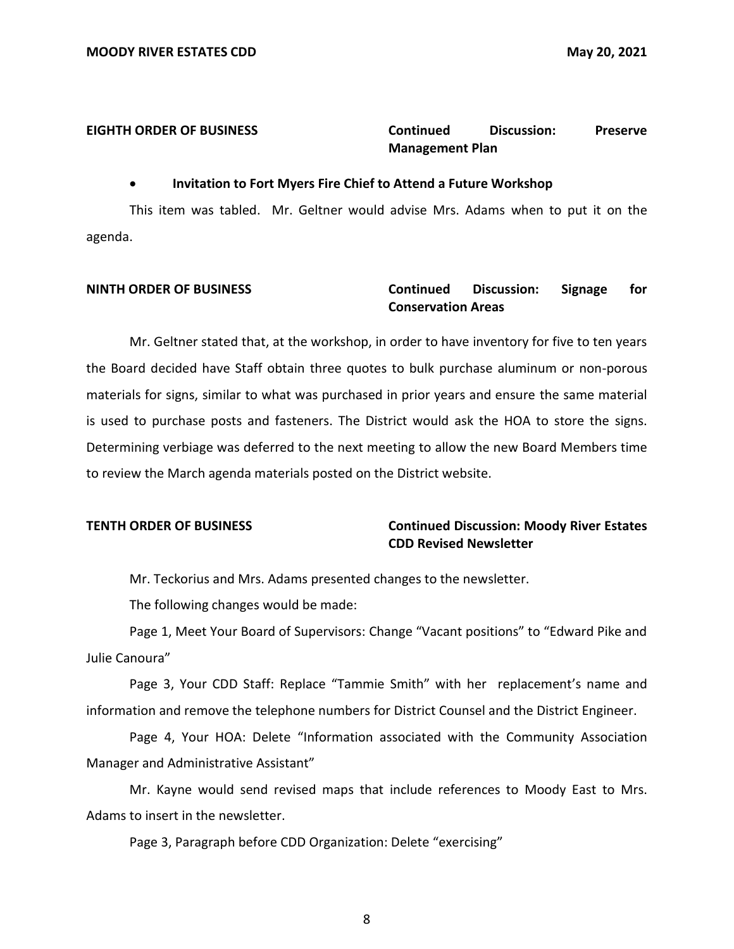# **EIGHTH ORDER OF BUSINESS Continued Discussion: Preserve Management Plan**

### • **Invitation to Fort Myers Fire Chief to Attend a Future Workshop**

This item was tabled. Mr. Geltner would advise Mrs. Adams when to put it on the agenda.

# **NINTH ORDER OF BUSINESS Continued Discussion: Signage for Conservation Areas**

Mr. Geltner stated that, at the workshop, in order to have inventory for five to ten years the Board decided have Staff obtain three quotes to bulk purchase aluminum or non-porous materials for signs, similar to what was purchased in prior years and ensure the same material is used to purchase posts and fasteners. The District would ask the HOA to store the signs. Determining verbiage was deferred to the next meeting to allow the new Board Members time to review the March agenda materials posted on the District website.

# **TENTH ORDER OF BUSINESS Continued Discussion: Moody River Estates CDD Revised Newsletter**

Mr. Teckorius and Mrs. Adams presented changes to the newsletter.

The following changes would be made:

Page 1, Meet Your Board of Supervisors: Change "Vacant positions" to "Edward Pike and Julie Canoura"

Page 3, Your CDD Staff: Replace "Tammie Smith" with her replacement's name and information and remove the telephone numbers for District Counsel and the District Engineer.

Page 4, Your HOA: Delete "Information associated with the Community Association Manager and Administrative Assistant"

Mr. Kayne would send revised maps that include references to Moody East to Mrs. Adams to insert in the newsletter.

Page 3, Paragraph before CDD Organization: Delete "exercising"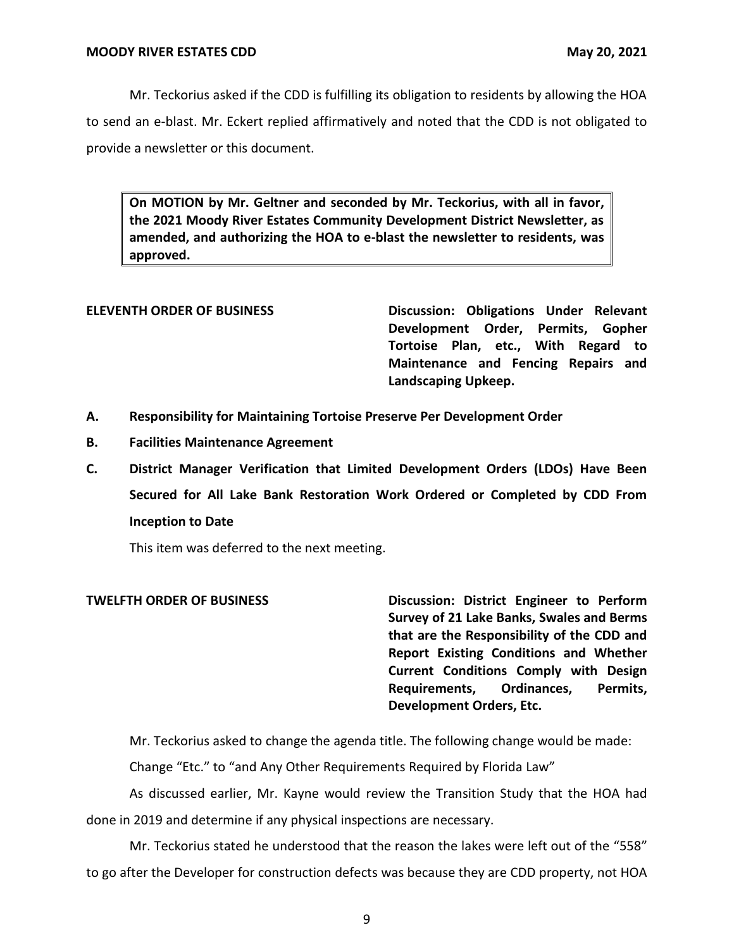Mr. Teckorius asked if the CDD is fulfilling its obligation to residents by allowing the HOA to send an e-blast. Mr. Eckert replied affirmatively and noted that the CDD is not obligated to provide a newsletter or this document.

**On MOTION by Mr. Geltner and seconded by Mr. Teckorius, with all in favor, the 2021 Moody River Estates Community Development District Newsletter, as amended, and authorizing the HOA to e-blast the newsletter to residents, was approved.**

**ELEVENTH ORDER OF BUSINESS Discussion: Obligations Under Relevant Development Order, Permits, Gopher Tortoise Plan, etc., With Regard to Maintenance and Fencing Repairs and Landscaping Upkeep.**

- **A. Responsibility for Maintaining Tortoise Preserve Per Development Order**
- **B. Facilities Maintenance Agreement**
- **C. District Manager Verification that Limited Development Orders (LDOs) Have Been Secured for All Lake Bank Restoration Work Ordered or Completed by CDD From Inception to Date**

This item was deferred to the next meeting.

**TWELFTH ORDER OF BUSINESS Discussion: District Engineer to Perform Survey of 21 Lake Banks, Swales and Berms that are the Responsibility of the CDD and Report Existing Conditions and Whether Current Conditions Comply with Design Requirements, Ordinances, Permits, Development Orders, Etc.**

Mr. Teckorius asked to change the agenda title. The following change would be made:

Change "Etc." to "and Any Other Requirements Required by Florida Law"

As discussed earlier, Mr. Kayne would review the Transition Study that the HOA had done in 2019 and determine if any physical inspections are necessary.

Mr. Teckorius stated he understood that the reason the lakes were left out of the "558" to go after the Developer for construction defects was because they are CDD property, not HOA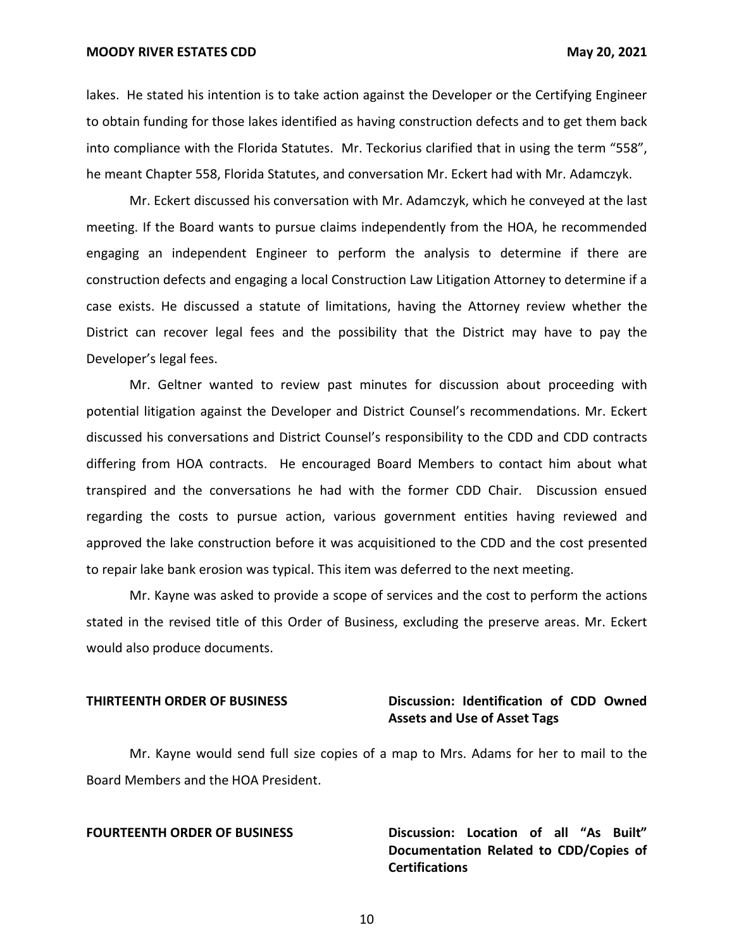**MOODY RIVER ESTATES CDD** May 20, 2021

lakes. He stated his intention is to take action against the Developer or the Certifying Engineer to obtain funding for those lakes identified as having construction defects and to get them back into compliance with the Florida Statutes. Mr. Teckorius clarified that in using the term "558", he meant Chapter 558, Florida Statutes, and conversation Mr. Eckert had with Mr. Adamczyk.

Mr. Eckert discussed his conversation with Mr. Adamczyk, which he conveyed at the last meeting. If the Board wants to pursue claims independently from the HOA, he recommended engaging an independent Engineer to perform the analysis to determine if there are construction defects and engaging a local Construction Law Litigation Attorney to determine if a case exists. He discussed a statute of limitations, having the Attorney review whether the District can recover legal fees and the possibility that the District may have to pay the Developer's legal fees.

Mr. Geltner wanted to review past minutes for discussion about proceeding with potential litigation against the Developer and District Counsel's recommendations. Mr. Eckert discussed his conversations and District Counsel's responsibility to the CDD and CDD contracts differing from HOA contracts. He encouraged Board Members to contact him about what transpired and the conversations he had with the former CDD Chair. Discussion ensued regarding the costs to pursue action, various government entities having reviewed and approved the lake construction before it was acquisitioned to the CDD and the cost presented to repair lake bank erosion was typical. This item was deferred to the next meeting.

Mr. Kayne was asked to provide a scope of services and the cost to perform the actions stated in the revised title of this Order of Business, excluding the preserve areas. Mr. Eckert would also produce documents.

# **THIRTEENTH ORDER OF BUSINESS Discussion: Identification of CDD Owned Assets and Use of Asset Tags**

Mr. Kayne would send full size copies of a map to Mrs. Adams for her to mail to the Board Members and the HOA President.

**FOURTEENTH ORDER OF BUSINESS Discussion: Location of all "As Built" Documentation Related to CDD/Copies of Certifications**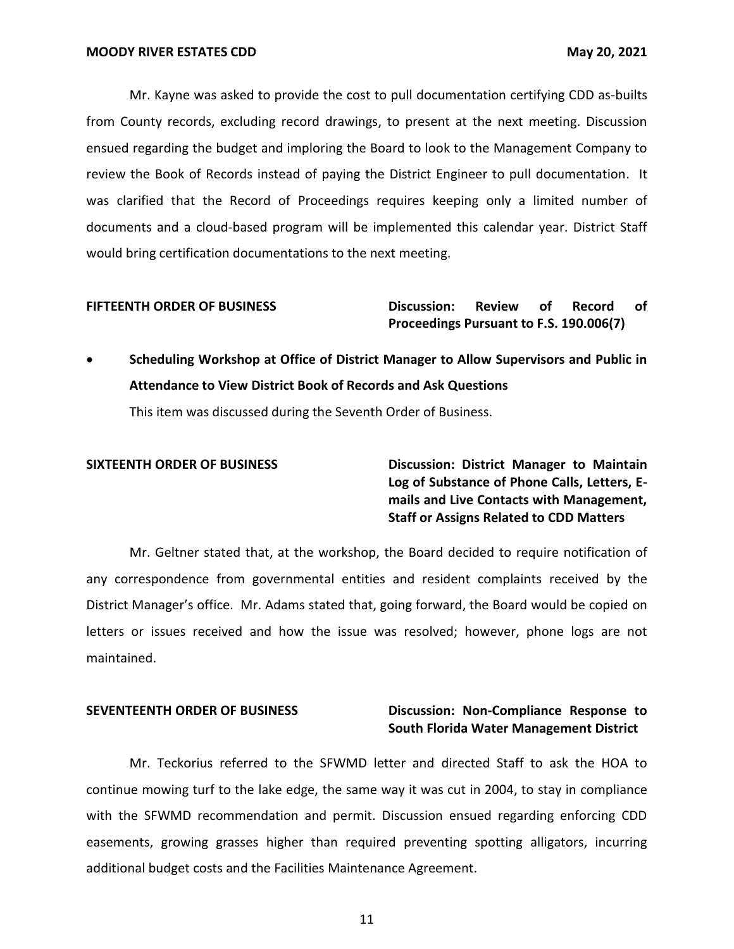Mr. Kayne was asked to provide the cost to pull documentation certifying CDD as-builts from County records, excluding record drawings, to present at the next meeting. Discussion ensued regarding the budget and imploring the Board to look to the Management Company to review the Book of Records instead of paying the District Engineer to pull documentation. It was clarified that the Record of Proceedings requires keeping only a limited number of documents and a cloud-based program will be implemented this calendar year. District Staff would bring certification documentations to the next meeting.

### **FIFTEENTH ORDER OF BUSINESS Discussion: Review of Record of Proceedings Pursuant to F.S. 190.006(7)**

• **Scheduling Workshop at Office of District Manager to Allow Supervisors and Public in Attendance to View District Book of Records and Ask Questions**

This item was discussed during the Seventh Order of Business.

**SIXTEENTH ORDER OF BUSINESS Discussion: District Manager to Maintain Log of Substance of Phone Calls, Letters, Emails and Live Contacts with Management, Staff or Assigns Related to CDD Matters**

Mr. Geltner stated that, at the workshop, the Board decided to require notification of any correspondence from governmental entities and resident complaints received by the District Manager's office. Mr. Adams stated that, going forward, the Board would be copied on letters or issues received and how the issue was resolved; however, phone logs are not maintained.

# **SEVENTEENTH ORDER OF BUSINESS Discussion: Non-Compliance Response to South Florida Water Management District**

Mr. Teckorius referred to the SFWMD letter and directed Staff to ask the HOA to continue mowing turf to the lake edge, the same way it was cut in 2004, to stay in compliance with the SFWMD recommendation and permit. Discussion ensued regarding enforcing CDD easements, growing grasses higher than required preventing spotting alligators, incurring additional budget costs and the Facilities Maintenance Agreement.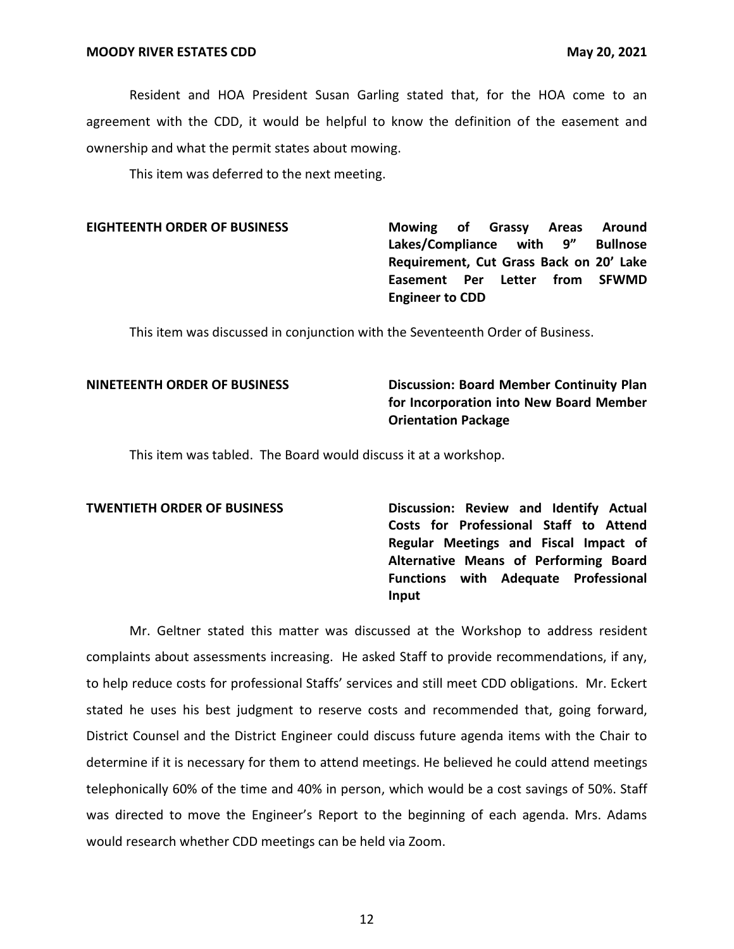Resident and HOA President Susan Garling stated that, for the HOA come to an agreement with the CDD, it would be helpful to know the definition of the easement and ownership and what the permit states about mowing.

This item was deferred to the next meeting.

**EIGHTEENTH ORDER OF BUSINESS Mowing of Grassy Areas Around Lakes/Compliance with 9" Bullnose Requirement, Cut Grass Back on 20' Lake Easement Per Letter from SFWMD Engineer to CDD**

This item was discussed in conjunction with the Seventeenth Order of Business.

# **NINETEENTH ORDER OF BUSINESS Discussion: Board Member Continuity Plan for Incorporation into New Board Member Orientation Package**

This item was tabled. The Board would discuss it at a workshop.

**TWENTIETH ORDER OF BUSINESS Discussion: Review and Identify Actual Costs for Professional Staff to Attend Regular Meetings and Fiscal Impact of Alternative Means of Performing Board Functions with Adequate Professional Input**

Mr. Geltner stated this matter was discussed at the Workshop to address resident complaints about assessments increasing. He asked Staff to provide recommendations, if any, to help reduce costs for professional Staffs' services and still meet CDD obligations. Mr. Eckert stated he uses his best judgment to reserve costs and recommended that, going forward, District Counsel and the District Engineer could discuss future agenda items with the Chair to determine if it is necessary for them to attend meetings. He believed he could attend meetings telephonically 60% of the time and 40% in person, which would be a cost savings of 50%. Staff was directed to move the Engineer's Report to the beginning of each agenda. Mrs. Adams would research whether CDD meetings can be held via Zoom.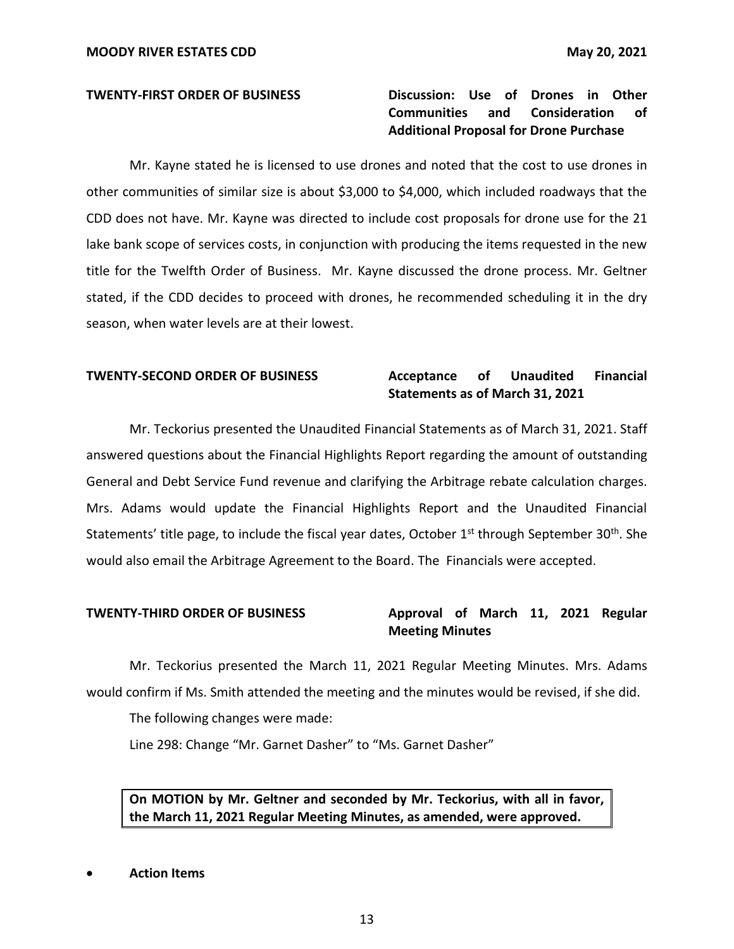# **TWENTY-FIRST ORDER OF BUSINESS Discussion: Use of Drones in Other Communities and Consideration of Additional Proposal for Drone Purchase**

Mr. Kayne stated he is licensed to use drones and noted that the cost to use drones in other communities of similar size is about \$3,000 to \$4,000, which included roadways that the CDD does not have. Mr. Kayne was directed to include cost proposals for drone use for the 21 lake bank scope of services costs, in conjunction with producing the items requested in the new title for the Twelfth Order of Business. Mr. Kayne discussed the drone process. Mr. Geltner stated, if the CDD decides to proceed with drones, he recommended scheduling it in the dry season, when water levels are at their lowest.

# **TWENTY-SECOND ORDER OF BUSINESS Acceptance of Unaudited Financial**

# **Statements as of March 31, 2021**

Mr. Teckorius presented the Unaudited Financial Statements as of March 31, 2021. Staff answered questions about the Financial Highlights Report regarding the amount of outstanding General and Debt Service Fund revenue and clarifying the Arbitrage rebate calculation charges. Mrs. Adams would update the Financial Highlights Report and the Unaudited Financial Statements' title page, to include the fiscal year dates, October 1<sup>st</sup> through September 30<sup>th</sup>. She would also email the Arbitrage Agreement to the Board. The Financials were accepted.

# **TWENTY-THIRD ORDER OF BUSINESS Approval of March 11, 2021 Regular Meeting Minutes**

Mr. Teckorius presented the March 11, 2021 Regular Meeting Minutes. Mrs. Adams would confirm if Ms. Smith attended the meeting and the minutes would be revised, if she did.

The following changes were made:

Line 298: Change "Mr. Garnet Dasher" to "Ms. Garnet Dasher"

**On MOTION by Mr. Geltner and seconded by Mr. Teckorius, with all in favor, the March 11, 2021 Regular Meeting Minutes, as amended, were approved.** 

• **Action Items**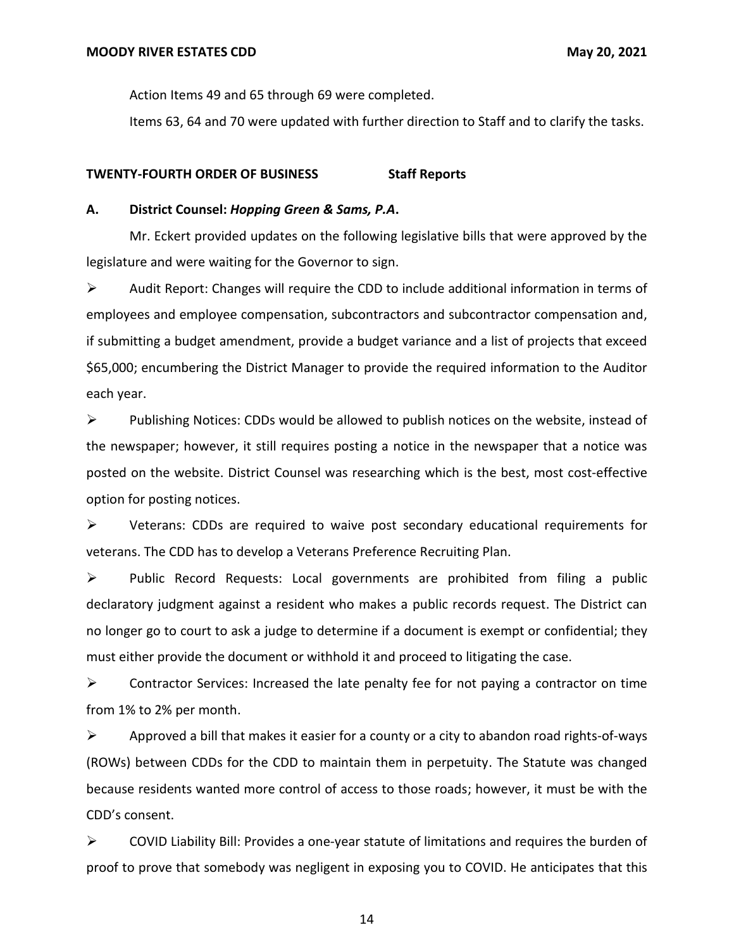Action Items 49 and 65 through 69 were completed.

Items 63, 64 and 70 were updated with further direction to Staff and to clarify the tasks.

### **TWENTY-FOURTH ORDER OF BUSINESS Staff Reports**

### **A. District Counsel:** *Hopping Green & Sams, P.A***.**

Mr. Eckert provided updates on the following legislative bills that were approved by the legislature and were waiting for the Governor to sign.

 $\triangleright$  Audit Report: Changes will require the CDD to include additional information in terms of employees and employee compensation, subcontractors and subcontractor compensation and, if submitting a budget amendment, provide a budget variance and a list of projects that exceed \$65,000; encumbering the District Manager to provide the required information to the Auditor each year.

 $\triangleright$  Publishing Notices: CDDs would be allowed to publish notices on the website, instead of the newspaper; however, it still requires posting a notice in the newspaper that a notice was posted on the website. District Counsel was researching which is the best, most cost-effective option for posting notices.

➢ Veterans: CDDs are required to waive post secondary educational requirements for veterans. The CDD has to develop a Veterans Preference Recruiting Plan.

➢ Public Record Requests: Local governments are prohibited from filing a public declaratory judgment against a resident who makes a public records request. The District can no longer go to court to ask a judge to determine if a document is exempt or confidential; they must either provide the document or withhold it and proceed to litigating the case.

 $\triangleright$  Contractor Services: Increased the late penalty fee for not paying a contractor on time from 1% to 2% per month.

 $\triangleright$  Approved a bill that makes it easier for a county or a city to abandon road rights-of-ways (ROWs) between CDDs for the CDD to maintain them in perpetuity. The Statute was changed because residents wanted more control of access to those roads; however, it must be with the CDD's consent.

 $\triangleright$  COVID Liability Bill: Provides a one-year statute of limitations and requires the burden of proof to prove that somebody was negligent in exposing you to COVID. He anticipates that this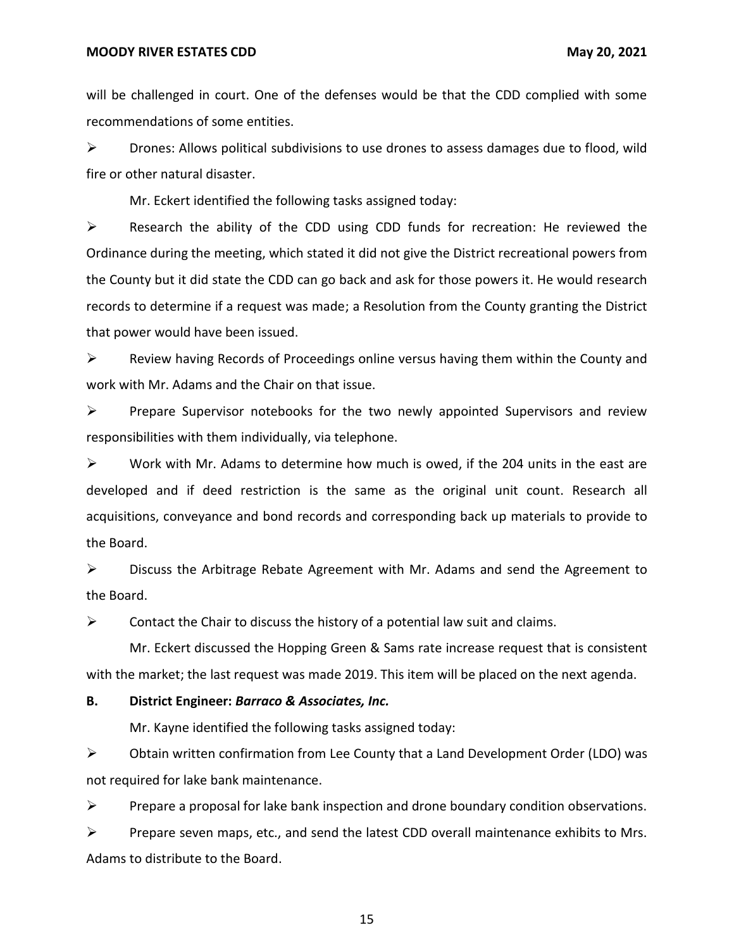will be challenged in court. One of the defenses would be that the CDD complied with some recommendations of some entities.

 $\triangleright$  Drones: Allows political subdivisions to use drones to assess damages due to flood, wild fire or other natural disaster.

Mr. Eckert identified the following tasks assigned today:

➢ Research the ability of the CDD using CDD funds for recreation: He reviewed the Ordinance during the meeting, which stated it did not give the District recreational powers from the County but it did state the CDD can go back and ask for those powers it. He would research records to determine if a request was made; a Resolution from the County granting the District that power would have been issued.

 $\triangleright$  Review having Records of Proceedings online versus having them within the County and work with Mr. Adams and the Chair on that issue.

 $\triangleright$  Prepare Supervisor notebooks for the two newly appointed Supervisors and review responsibilities with them individually, via telephone.

 $\triangleright$  Work with Mr. Adams to determine how much is owed, if the 204 units in the east are developed and if deed restriction is the same as the original unit count. Research all acquisitions, conveyance and bond records and corresponding back up materials to provide to the Board.

 $\triangleright$  Discuss the Arbitrage Rebate Agreement with Mr. Adams and send the Agreement to the Board.

 $\triangleright$  Contact the Chair to discuss the history of a potential law suit and claims.

Mr. Eckert discussed the Hopping Green & Sams rate increase request that is consistent with the market; the last request was made 2019. This item will be placed on the next agenda.

### **B. District Engineer:** *Barraco & Associates, Inc.*

Mr. Kayne identified the following tasks assigned today:

 $\triangleright$  Obtain written confirmation from Lee County that a Land Development Order (LDO) was not required for lake bank maintenance.

 $\triangleright$  Prepare a proposal for lake bank inspection and drone boundary condition observations.

 $\triangleright$  Prepare seven maps, etc., and send the latest CDD overall maintenance exhibits to Mrs. Adams to distribute to the Board.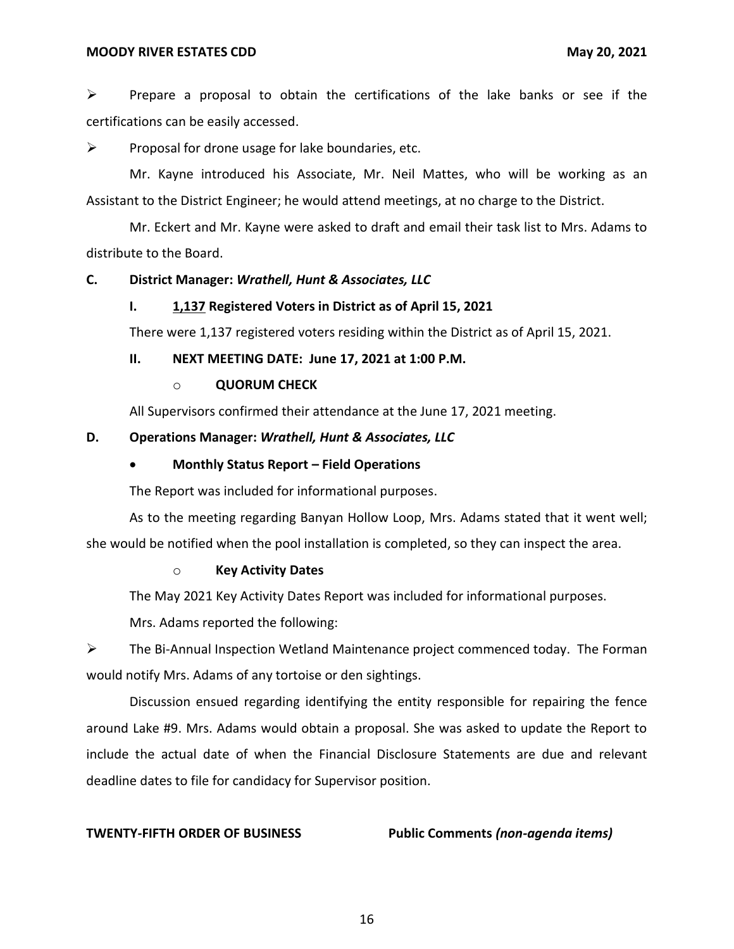$\triangleright$  Prepare a proposal to obtain the certifications of the lake banks or see if the certifications can be easily accessed.

 $\triangleright$  Proposal for drone usage for lake boundaries, etc.

Mr. Kayne introduced his Associate, Mr. Neil Mattes, who will be working as an Assistant to the District Engineer; he would attend meetings, at no charge to the District.

Mr. Eckert and Mr. Kayne were asked to draft and email their task list to Mrs. Adams to distribute to the Board.

### **C. District Manager:** *Wrathell, Hunt & Associates, LLC*

### **I. 1,137 Registered Voters in District as of April 15, 2021**

There were 1,137 registered voters residing within the District as of April 15, 2021.

### **II. NEXT MEETING DATE: June 17, 2021 at 1:00 P.M.**

### o **QUORUM CHECK**

All Supervisors confirmed their attendance at the June 17, 2021 meeting.

### **D. Operations Manager:** *Wrathell, Hunt & Associates, LLC*

### • **Monthly Status Report – Field Operations**

The Report was included for informational purposes.

As to the meeting regarding Banyan Hollow Loop, Mrs. Adams stated that it went well; she would be notified when the pool installation is completed, so they can inspect the area.

### o **Key Activity Dates**

The May 2021 Key Activity Dates Report was included for informational purposes.

Mrs. Adams reported the following:

➢ The Bi-Annual Inspection Wetland Maintenance project commenced today. The Forman would notify Mrs. Adams of any tortoise or den sightings.

Discussion ensued regarding identifying the entity responsible for repairing the fence around Lake #9. Mrs. Adams would obtain a proposal. She was asked to update the Report to include the actual date of when the Financial Disclosure Statements are due and relevant deadline dates to file for candidacy for Supervisor position.

**TWENTY-FIFTH ORDER OF BUSINESS Public Comments** *(non-agenda items)*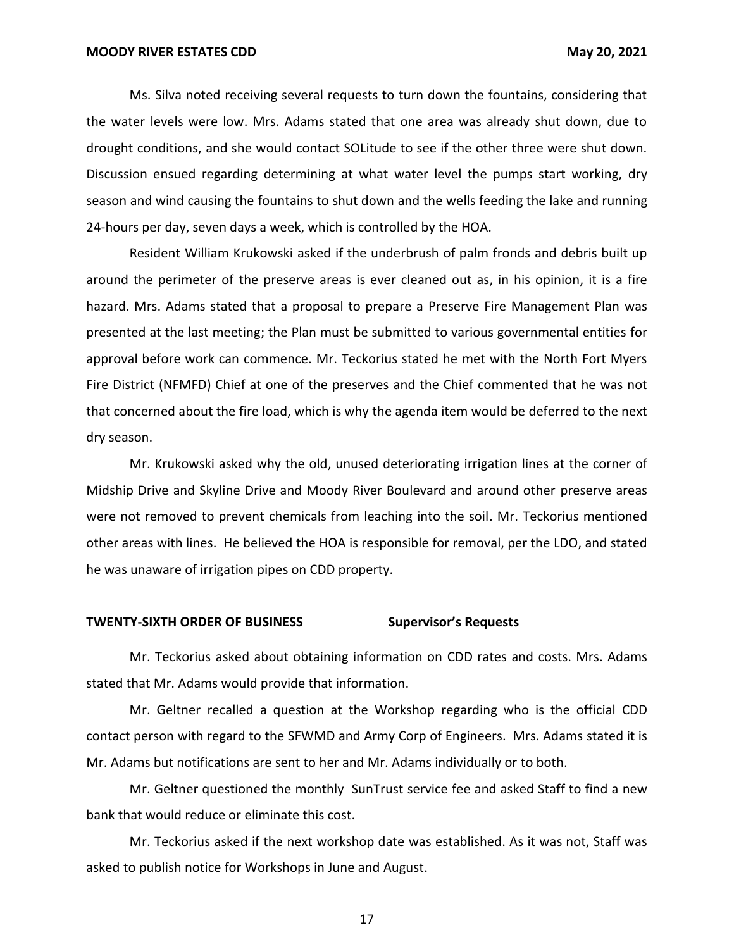Ms. Silva noted receiving several requests to turn down the fountains, considering that the water levels were low. Mrs. Adams stated that one area was already shut down, due to drought conditions, and she would contact SOLitude to see if the other three were shut down. Discussion ensued regarding determining at what water level the pumps start working, dry season and wind causing the fountains to shut down and the wells feeding the lake and running 24-hours per day, seven days a week, which is controlled by the HOA.

Resident William Krukowski asked if the underbrush of palm fronds and debris built up around the perimeter of the preserve areas is ever cleaned out as, in his opinion, it is a fire hazard. Mrs. Adams stated that a proposal to prepare a Preserve Fire Management Plan was presented at the last meeting; the Plan must be submitted to various governmental entities for approval before work can commence. Mr. Teckorius stated he met with the North Fort Myers Fire District (NFMFD) Chief at one of the preserves and the Chief commented that he was not that concerned about the fire load, which is why the agenda item would be deferred to the next dry season.

Mr. Krukowski asked why the old, unused deteriorating irrigation lines at the corner of Midship Drive and Skyline Drive and Moody River Boulevard and around other preserve areas were not removed to prevent chemicals from leaching into the soil. Mr. Teckorius mentioned other areas with lines. He believed the HOA is responsible for removal, per the LDO, and stated he was unaware of irrigation pipes on CDD property.

### **TWENTY-SIXTH ORDER OF BUSINESS Supervisor's Requests**

Mr. Teckorius asked about obtaining information on CDD rates and costs. Mrs. Adams stated that Mr. Adams would provide that information.

Mr. Geltner recalled a question at the Workshop regarding who is the official CDD contact person with regard to the SFWMD and Army Corp of Engineers. Mrs. Adams stated it is Mr. Adams but notifications are sent to her and Mr. Adams individually or to both.

Mr. Geltner questioned the monthly SunTrust service fee and asked Staff to find a new bank that would reduce or eliminate this cost.

Mr. Teckorius asked if the next workshop date was established. As it was not, Staff was asked to publish notice for Workshops in June and August.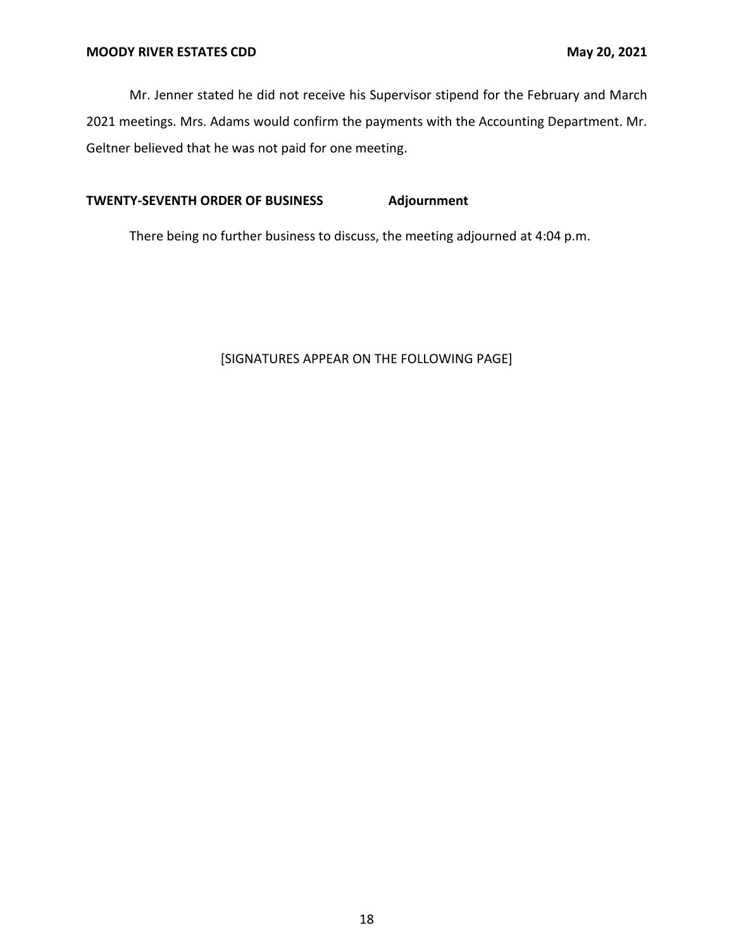Mr. Jenner stated he did not receive his Supervisor stipend for the February and March 2021 meetings. Mrs. Adams would confirm the payments with the Accounting Department. Mr. Geltner believed that he was not paid for one meeting.

# **TWENTY-SEVENTH ORDER OF BUSINESS Adjournment**

There being no further business to discuss, the meeting adjourned at 4:04 p.m.

# [SIGNATURES APPEAR ON THE FOLLOWING PAGE]